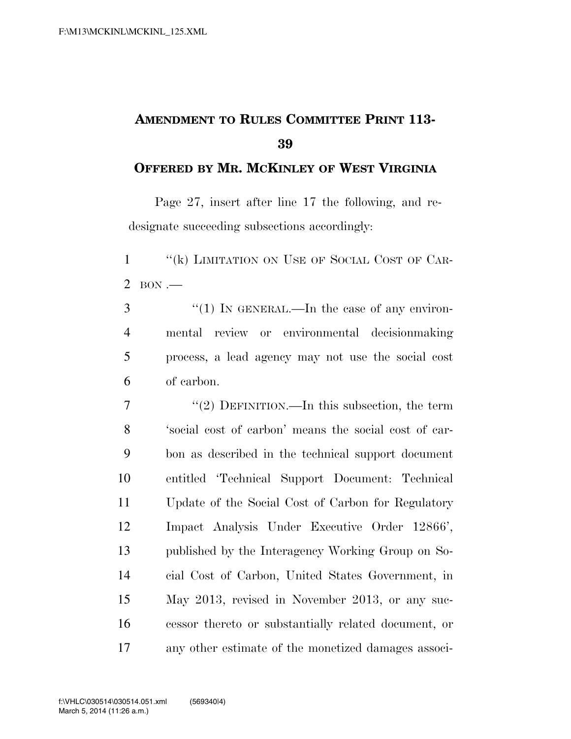## **AMENDMENT TO RULES COMMITTEE PRINT 113-**

## **OFFERED BY MR. MCKINLEY OF WEST VIRGINIA**

Page 27, insert after line 17 the following, and redesignate succeeding subsections accordingly:

 ''(k) LIMITATION ON USE OF SOCIAL COST OF CAR-2 BON  $-$ 

 "(1) In GENERAL.—In the case of any environ- mental review or environmental decisionmaking process, a lead agency may not use the social cost of carbon.

 $7 \t$  "(2) DEFINITION.—In this subsection, the term 'social cost of carbon' means the social cost of car- bon as described in the technical support document entitled 'Technical Support Document: Technical Update of the Social Cost of Carbon for Regulatory Impact Analysis Under Executive Order 12866', published by the Interagency Working Group on So- cial Cost of Carbon, United States Government, in May 2013, revised in November 2013, or any suc- cessor thereto or substantially related document, or any other estimate of the monetized damages associ-